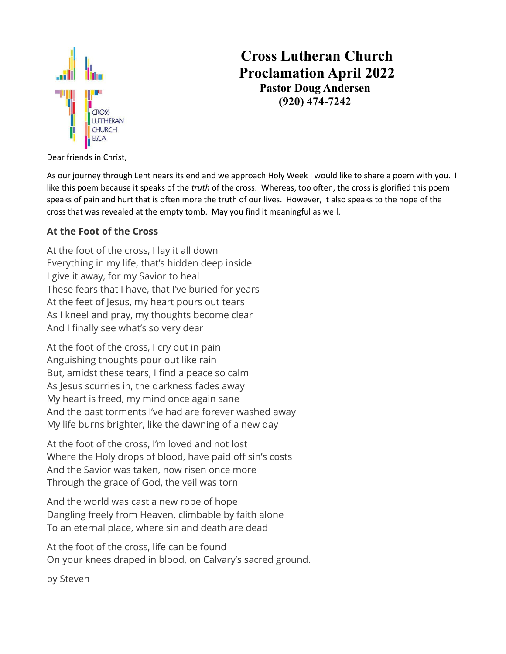

# **Cross Lutheran Church Proclamation April 2022 Pastor Doug Andersen (920) 474-7242**

Dear friends in Christ,

As our journey through Lent nears its end and we approach Holy Week I would like to share a poem with you. I like this poem because it speaks of the *truth* of the cross. Whereas, too often, the cross is glorified this poem speaks of pain and hurt that is often more the truth of our lives. However, it also speaks to the hope of the cross that was revealed at the empty tomb. May you find it meaningful as well.

#### **At the Foot of the Cross**

At the foot of the cross, I lay it all down Everything in my life, that's hidden deep inside I give it away, for my Savior to heal These fears that I have, that I've buried for years At the feet of Jesus, my heart pours out tears As I kneel and pray, my thoughts become clear And I finally see what's so very dear

At the foot of the cross, I cry out in pain Anguishing thoughts pour out like rain But, amidst these tears, I find a peace so calm As Jesus scurries in, the darkness fades away My heart is freed, my mind once again sane And the past torments I've had are forever washed away My life burns brighter, like the dawning of a new day

At the foot of the cross, I'm loved and not lost Where the Holy drops of blood, have paid off sin's costs And the Savior was taken, now risen once more Through the grace of God, the veil was torn

And the world was cast a new rope of hope Dangling freely from Heaven, climbable by faith alone To an eternal place, where sin and death are dead

At the foot of the cross, life can be found On your knees draped in blood, on Calvary's sacred ground.

by Steven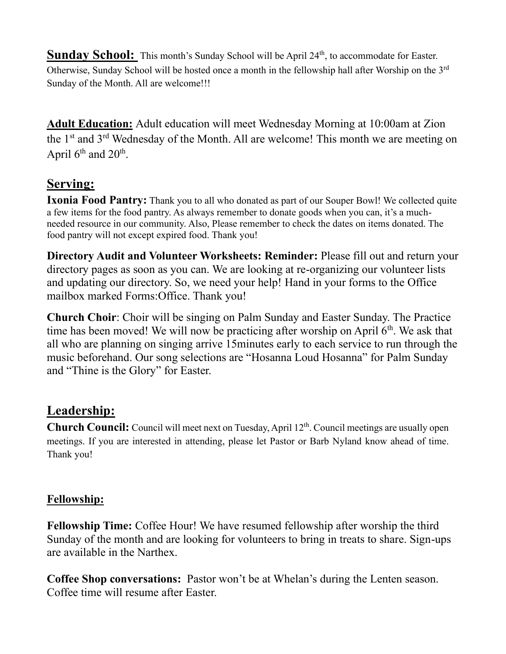**Sunday School:** This month's Sunday School will be April 24<sup>th</sup>, to accommodate for Easter. Otherwise, Sunday School will be hosted once a month in the fellowship hall after Worship on the 3rd Sunday of the Month. All are welcome!!!

**Adult Education:** Adult education will meet Wednesday Morning at 10:00am at Zion the 1<sup>st</sup> and 3<sup>rd</sup> Wednesday of the Month. All are welcome! This month we are meeting on April  $6<sup>th</sup>$  and  $20<sup>th</sup>$ .

## **Serving:**

**Ixonia Food Pantry:** Thank you to all who donated as part of our Souper Bowl! We collected quite a few items for the food pantry. As always remember to donate goods when you can, it's a muchneeded resource in our community. Also, Please remember to check the dates on items donated. The food pantry will not except expired food. Thank you!

**Directory Audit and Volunteer Worksheets: Reminder:** Please fill out and return your directory pages as soon as you can. We are looking at re-organizing our volunteer lists and updating our directory. So, we need your help! Hand in your forms to the Office mailbox marked Forms:Office. Thank you!

**Church Choir**: Choir will be singing on Palm Sunday and Easter Sunday. The Practice time has been moved! We will now be practicing after worship on April  $6<sup>th</sup>$ . We ask that all who are planning on singing arrive 15minutes early to each service to run through the music beforehand. Our song selections are "Hosanna Loud Hosanna" for Palm Sunday and "Thine is the Glory" for Easter.

## **Leadership:**

Church Council: Council will meet next on Tuesday, April 12<sup>th</sup>. Council meetings are usually open meetings. If you are interested in attending, please let Pastor or Barb Nyland know ahead of time. Thank you!

#### **Fellowship:**

**Fellowship Time:** Coffee Hour! We have resumed fellowship after worship the third Sunday of the month and are looking for volunteers to bring in treats to share. Sign-ups are available in the Narthex.

**Coffee Shop conversations:** Pastor won't be at Whelan's during the Lenten season. Coffee time will resume after Easter.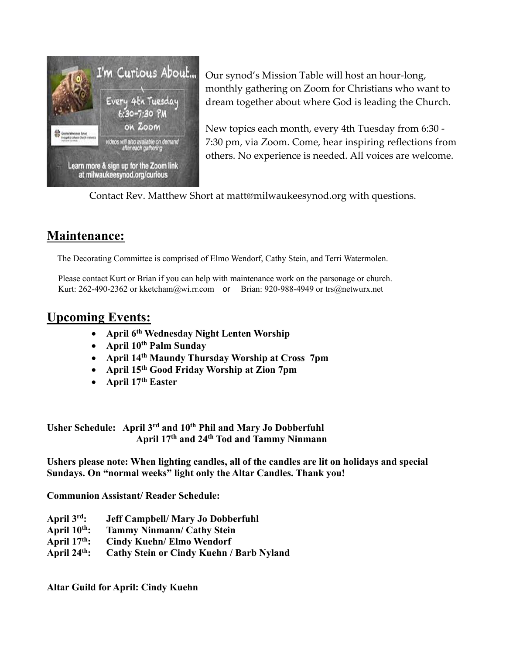

Our synod's Mission Table will host an hour-long, monthly gathering on Zoom for Christians who want to dream together about where God is leading the Church.

New topics each month, every 4th Tuesday from 6:30 - 7:30 pm, via Zoom. Come, hear inspiring reflections from others. No experience is needed. All voices are welcome.

Contact Rev. Matthew Short at matt@milwaukeesynod.org with questions.

### **Maintenance:**

The Decorating Committee is comprised of Elmo Wendorf, Cathy Stein, and Terri Watermolen.

Please contact Kurt or Brian if you can help with maintenance work on the parsonage or church. Kurt: 262-490-2362 o[r kketcham@wi.rr.com](mailto:kketcham@wi.rr.com) or Brian: 920-988-4949 [or trs@netwurx.net](mailto:or%20trs@netwurx.net)

### **Upcoming Events:**

- **April 6th Wednesday Night Lenten Worship**
- **April 10 th Palm Sunday**
- **April 14th Maundy Thursday Worship at Cross 7pm**
- **April 15th Good Friday Worship at Zion 7pm**
- **April 17th Easter**

**Usher Schedule: April 3rd and 10th Phil and Mary Jo Dobberfuhl April 17th and 24th Tod and Tammy Ninmann** 

**Ushers please note: When lighting candles, all of the candles are lit on holidays and special Sundays. On "normal weeks" light only the Altar Candles. Thank you!** 

**Communion Assistant/ Reader Schedule:**

- **April 3 rd: Jeff Campbell/ Mary Jo Dobberfuhl**
- **April 10 th: Tammy Ninmann/ Cathy Stein**
- **April 17th: Cindy Kuehn/ Elmo Wendorf**
- **April 24th: Cathy Stein or Cindy Kuehn / Barb Nyland**

**Altar Guild for April: Cindy Kuehn**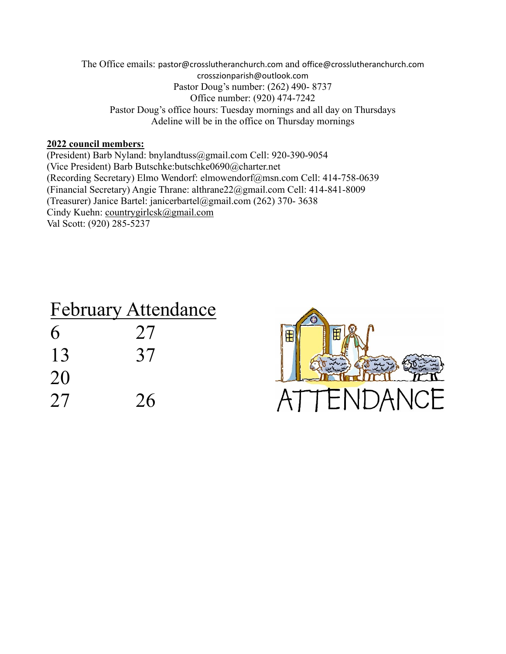The Office emails: [pastor@crosslutheranchurch.com](mailto:pastor@crosslutheranchurch.com) and [office@crosslutheranchurch.com](mailto:office@crosslutheranchurch.com) crosszionparish@outlook.com Pastor Doug's number: (262) 490- 8737 Office number: (920) 474-7242 Pastor Doug's office hours: Tuesday mornings and all day on Thursdays Adeline will be in the office on Thursday mornings

#### **2022 council members:**

(President) Barb Nyland: bnylandtuss@gmail.com Cell: 920-390-9054 (Vice President) Barb Butschke:butschke0690@charter.net (Recording Secretary) Elmo Wendorf: elmowendorf@msn.com Cell: 414-758-0639 (Financial Secretary) Angie Thrane: althrane22@gmail.com Cell: 414-841-8009 (Treasurer) Janice Bartel: janicerbartel@gmail.com (262) 370- 3638 Cindy Kuehn: [countrygirlcsk@gmail.com](mailto:countrygirlcsk@gmail.com) Val Scott: (920) 285-5237

| <b>February Attendance</b> |
|----------------------------|
| 27                         |
| 37                         |
|                            |
| 26                         |
|                            |

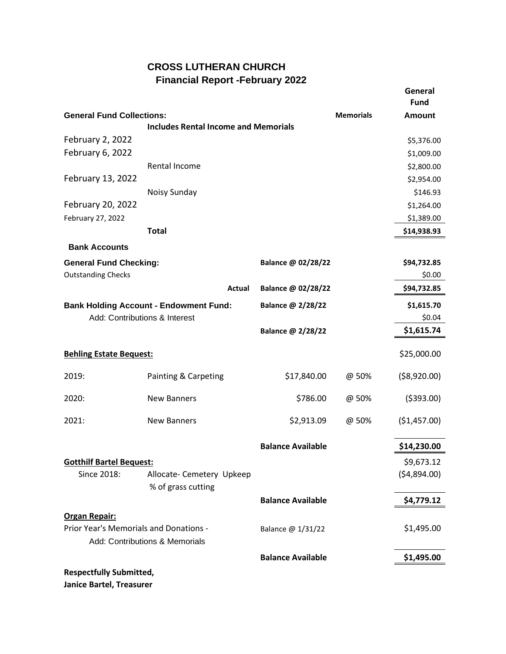#### **CROSS LUTHERAN CHURCH Financial Report -February 2022**

|                                                                                |                                             |                          |                  | General<br><b>Fund</b> |
|--------------------------------------------------------------------------------|---------------------------------------------|--------------------------|------------------|------------------------|
| <b>General Fund Collections:</b>                                               |                                             |                          | <b>Memorials</b> | <b>Amount</b>          |
|                                                                                | <b>Includes Rental Income and Memorials</b> |                          |                  |                        |
| February 2, 2022                                                               |                                             |                          |                  | \$5,376.00             |
| February 6, 2022                                                               |                                             |                          |                  | \$1,009.00             |
|                                                                                | Rental Income                               |                          |                  | \$2,800.00             |
| February 13, 2022                                                              |                                             |                          |                  | \$2,954.00             |
|                                                                                | Noisy Sunday                                |                          |                  | \$146.93               |
| February 20, 2022                                                              |                                             |                          |                  | \$1,264.00             |
| February 27, 2022                                                              |                                             |                          |                  | \$1,389.00             |
|                                                                                | <b>Total</b>                                |                          |                  | \$14,938.93            |
| <b>Bank Accounts</b>                                                           |                                             |                          |                  |                        |
| <b>General Fund Checking:</b>                                                  |                                             | Balance @ 02/28/22       |                  | \$94,732.85            |
| <b>Outstanding Checks</b>                                                      |                                             |                          |                  | \$0.00                 |
|                                                                                | Actual                                      | Balance @ 02/28/22       |                  | \$94,732.85            |
| <b>Bank Holding Account - Endowment Fund:</b><br>Add: Contributions & Interest |                                             | Balance @ 2/28/22        |                  | \$1,615.70             |
|                                                                                |                                             |                          |                  | \$0.04                 |
|                                                                                |                                             | Balance @ 2/28/22        |                  | \$1,615.74             |
|                                                                                |                                             |                          |                  |                        |
| <b>Behling Estate Bequest:</b>                                                 |                                             |                          |                  | \$25,000.00            |
| 2019:                                                                          | Painting & Carpeting                        | \$17,840.00              | @ 50%            | ( \$8,920.00)          |
| 2020:                                                                          | <b>New Banners</b>                          | \$786.00                 | @ 50%            | (5393.00)              |
| 2021:                                                                          | <b>New Banners</b>                          | \$2,913.09               | @ 50%            | (\$1,457.00)           |
|                                                                                |                                             | <b>Balance Available</b> |                  | \$14,230.00            |
| <b>Gotthilf Bartel Bequest:</b>                                                |                                             |                          |                  | \$9,673.12             |
| Since 2018:                                                                    | Allocate- Cemetery Upkeep                   |                          |                  | (54,894.00)            |
|                                                                                | % of grass cutting                          |                          |                  |                        |
|                                                                                |                                             | <b>Balance Available</b> |                  | \$4,779.12             |
| <b>Organ Repair:</b>                                                           |                                             |                          |                  |                        |
| Prior Year's Memorials and Donations -                                         |                                             | Balance @ 1/31/22        |                  | \$1,495.00             |
|                                                                                | Add: Contributions & Memorials              |                          |                  |                        |
|                                                                                |                                             | <b>Balance Available</b> |                  | \$1,495.00             |
| <b>Respectfully Submitted,</b>                                                 |                                             |                          |                  |                        |
| Janice Bartel, Treasurer                                                       |                                             |                          |                  |                        |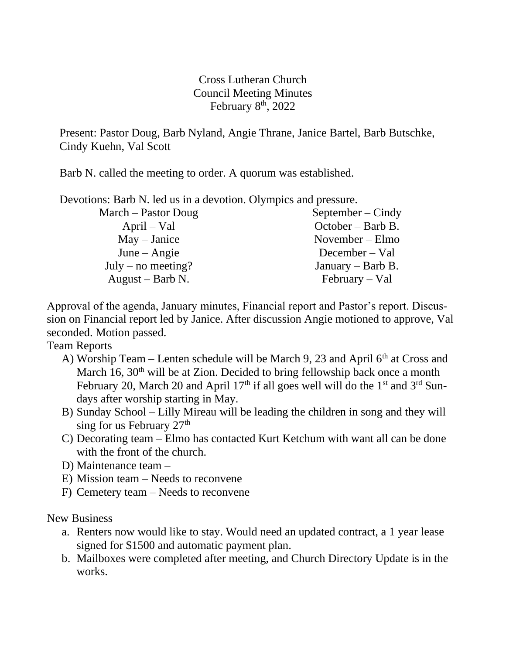Cross Lutheran Church Council Meeting Minutes February  $8<sup>th</sup>$ , 2022

Present: Pastor Doug, Barb Nyland, Angie Thrane, Janice Bartel, Barb Butschke, Cindy Kuehn, Val Scott

Barb N. called the meeting to order. A quorum was established.

Devotions: Barb N. led us in a devotion. Olympics and pressure.

| March – Pastor Doug | $September - Cindy$ |
|---------------------|---------------------|
| $April - Val$       | $October - Barb B.$ |
| $May - Janice$      | November $-$ Elmo   |
| June $-$ Angie      | December – Val      |
| July – no meeting?  | January – Barb B.   |
| August – Barb N.    | $February - Val$    |

Approval of the agenda, January minutes, Financial report and Pastor's report. Discussion on Financial report led by Janice. After discussion Angie motioned to approve, Val seconded. Motion passed.

Team Reports

- A) Worship Team Lenten schedule will be March 9, 23 and April  $6<sup>th</sup>$  at Cross and March 16,  $30<sup>th</sup>$  will be at Zion. Decided to bring fellowship back once a month February 20, March 20 and April 17<sup>th</sup> if all goes well will do the 1<sup>st</sup> and  $3<sup>rd</sup>$  Sundays after worship starting in May.
- B) Sunday School Lilly Mireau will be leading the children in song and they will sing for us February  $27<sup>th</sup>$
- C) Decorating team Elmo has contacted Kurt Ketchum with want all can be done with the front of the church.
- D) Maintenance team –
- E) Mission team Needs to reconvene
- F) Cemetery team Needs to reconvene

New Business

- a. Renters now would like to stay. Would need an updated contract, a 1 year lease signed for \$1500 and automatic payment plan.
- b. Mailboxes were completed after meeting, and Church Directory Update is in the works.